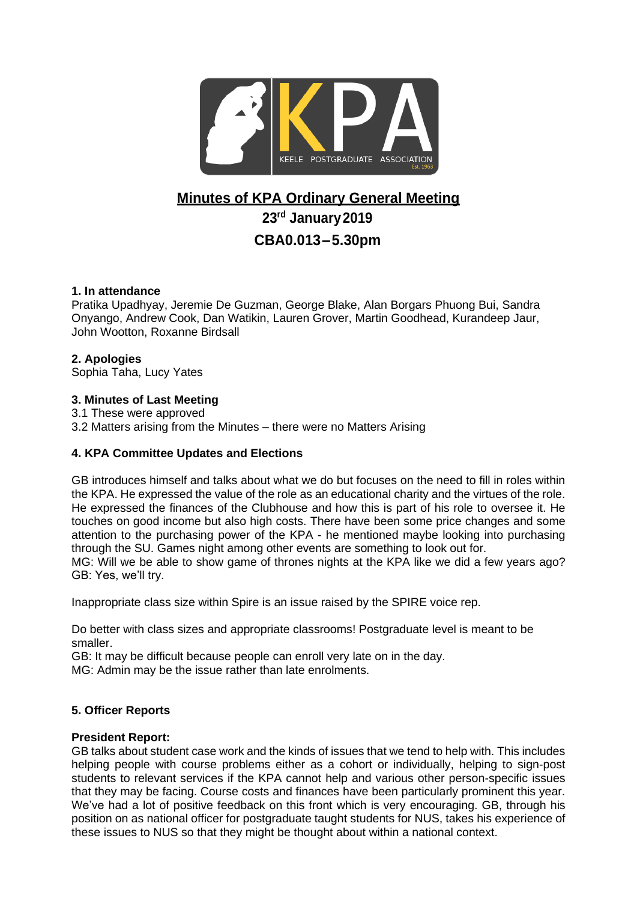

# **Minutes of KPA Ordinary General Meeting**

**23rd January2019**

## **CBA0.013–5.30pm**

## **1. In attendance**

Pratika Upadhyay, Jeremie De Guzman, George Blake, Alan Borgars Phuong Bui, Sandra Onyango, Andrew Cook, Dan Watikin, Lauren Grover, Martin Goodhead, Kurandeep Jaur, John Wootton, Roxanne Birdsall

## **2. Apologies**

Sophia Taha, Lucy Yates

## **3. Minutes of Last Meeting**

3.1 These were approved

3.2 Matters arising from the Minutes – there were no Matters Arising

## **4. KPA Committee Updates and Elections**

GB introduces himself and talks about what we do but focuses on the need to fill in roles within the KPA. He expressed the value of the role as an educational charity and the virtues of the role. He expressed the finances of the Clubhouse and how this is part of his role to oversee it. He touches on good income but also high costs. There have been some price changes and some attention to the purchasing power of the KPA - he mentioned maybe looking into purchasing through the SU. Games night among other events are something to look out for.

MG: Will we be able to show game of thrones nights at the KPA like we did a few years ago? GB: Yes, we'll try.

Inappropriate class size within Spire is an issue raised by the SPIRE voice rep.

Do better with class sizes and appropriate classrooms! Postgraduate level is meant to be smaller.

GB: It may be difficult because people can enroll very late on in the day.

MG: Admin may be the issue rather than late enrolments.

## **5. Officer Reports**

## **President Report:**

GB talks about student case work and the kinds of issues that we tend to help with. This includes helping people with course problems either as a cohort or individually, helping to sign-post students to relevant services if the KPA cannot help and various other person-specific issues that they may be facing. Course costs and finances have been particularly prominent this year. We've had a lot of positive feedback on this front which is very encouraging. GB, through his position on as national officer for postgraduate taught students for NUS, takes his experience of these issues to NUS so that they might be thought about within a national context.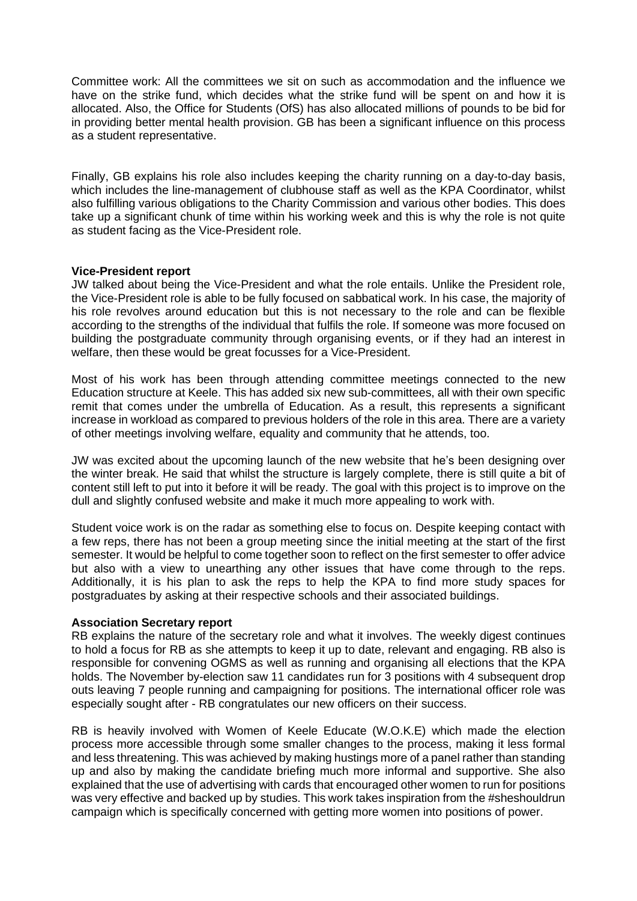Committee work: All the committees we sit on such as accommodation and the influence we have on the strike fund, which decides what the strike fund will be spent on and how it is allocated. Also, the Office for Students (OfS) has also allocated millions of pounds to be bid for in providing better mental health provision. GB has been a significant influence on this process as a student representative.

Finally, GB explains his role also includes keeping the charity running on a day-to-day basis, which includes the line-management of clubhouse staff as well as the KPA Coordinator, whilst also fulfilling various obligations to the Charity Commission and various other bodies. This does take up a significant chunk of time within his working week and this is why the role is not quite as student facing as the Vice-President role.

#### **Vice-President report**

JW talked about being the Vice-President and what the role entails. Unlike the President role, the Vice-President role is able to be fully focused on sabbatical work. In his case, the majority of his role revolves around education but this is not necessary to the role and can be flexible according to the strengths of the individual that fulfils the role. If someone was more focused on building the postgraduate community through organising events, or if they had an interest in welfare, then these would be great focusses for a Vice-President.

Most of his work has been through attending committee meetings connected to the new Education structure at Keele. This has added six new sub-committees, all with their own specific remit that comes under the umbrella of Education. As a result, this represents a significant increase in workload as compared to previous holders of the role in this area. There are a variety of other meetings involving welfare, equality and community that he attends, too.

JW was excited about the upcoming launch of the new website that he's been designing over the winter break. He said that whilst the structure is largely complete, there is still quite a bit of content still left to put into it before it will be ready. The goal with this project is to improve on the dull and slightly confused website and make it much more appealing to work with.

Student voice work is on the radar as something else to focus on. Despite keeping contact with a few reps, there has not been a group meeting since the initial meeting at the start of the first semester. It would be helpful to come together soon to reflect on the first semester to offer advice but also with a view to unearthing any other issues that have come through to the reps. Additionally, it is his plan to ask the reps to help the KPA to find more study spaces for postgraduates by asking at their respective schools and their associated buildings.

#### **Association Secretary report**

RB explains the nature of the secretary role and what it involves. The weekly digest continues to hold a focus for RB as she attempts to keep it up to date, relevant and engaging. RB also is responsible for convening OGMS as well as running and organising all elections that the KPA holds. The November by-election saw 11 candidates run for 3 positions with 4 subsequent drop outs leaving 7 people running and campaigning for positions. The international officer role was especially sought after - RB congratulates our new officers on their success.

RB is heavily involved with Women of Keele Educate (W.O.K.E) which made the election process more accessible through some smaller changes to the process, making it less formal and less threatening. This was achieved by making hustings more of a panel rather than standing up and also by making the candidate briefing much more informal and supportive. She also explained that the use of advertising with cards that encouraged other women to run for positions was very effective and backed up by studies. This work takes inspiration from the #sheshouldrun campaign which is specifically concerned with getting more women into positions of power.